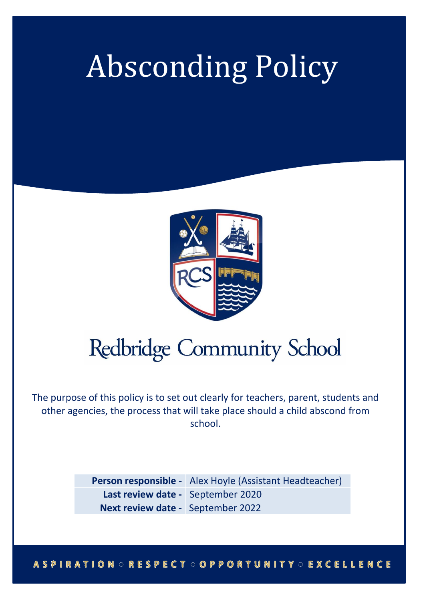# Absconding Policy



## **Redbridge Community School**

The purpose of this policy is to set out clearly for teachers, parent, students and other agencies, the process that will take place should a child abscond from school.

> **Person responsible -** Alex Hoyle (Assistant Headteacher) **Last review date -** September 2020 **Next review date -** September 2022

#### **ASPIRATION ORESPECT OOPPORTUNITY OEXCELLENCE**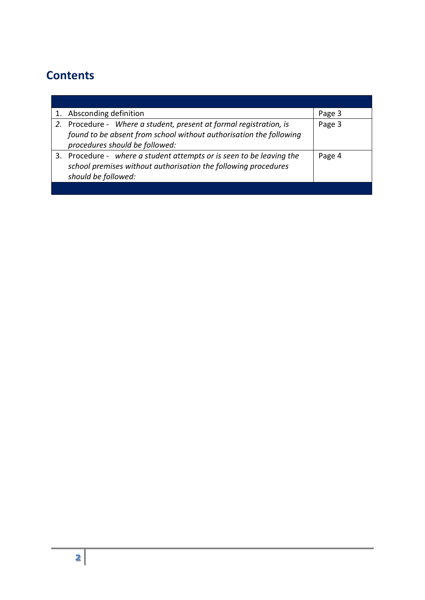## **Contents**

| 1. Absconding definition                                                                                                                                                   | Page 3 |
|----------------------------------------------------------------------------------------------------------------------------------------------------------------------------|--------|
| 2. Procedure - Where a student, present at formal registration, is<br>found to be absent from school without authorisation the following<br>procedures should be followed: | Page 3 |
| 3. Procedure - where a student attempts or is seen to be leaving the<br>school premises without authorisation the following procedures<br>should be followed:              | Page 4 |
|                                                                                                                                                                            |        |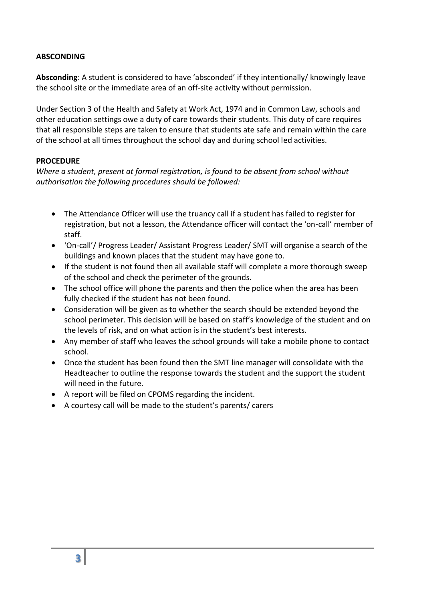## **ABSCONDING**

**Absconding**: A student is considered to have 'absconded' if they intentionally/ knowingly leave the school site or the immediate area of an off-site activity without permission.

Under Section 3 of the Health and Safety at Work Act, 1974 and in Common Law, schools and other education settings owe a duty of care towards their students. This duty of care requires that all responsible steps are taken to ensure that students ate safe and remain within the care of the school at all times throughout the school day and during school led activities.

## **PROCEDURE**

*Where a student, present at formal registration, is found to be absent from school without authorisation the following procedures should be followed:*

- The Attendance Officer will use the truancy call if a student has failed to register for registration, but not a lesson, the Attendance officer will contact the 'on-call' member of staff.
- 'On-call'/ Progress Leader/ Assistant Progress Leader/ SMT will organise a search of the buildings and known places that the student may have gone to.
- If the student is not found then all available staff will complete a more thorough sweep of the school and check the perimeter of the grounds.
- The school office will phone the parents and then the police when the area has been fully checked if the student has not been found.
- Consideration will be given as to whether the search should be extended beyond the school perimeter. This decision will be based on staff's knowledge of the student and on the levels of risk, and on what action is in the student's best interests.
- Any member of staff who leaves the school grounds will take a mobile phone to contact school.
- Once the student has been found then the SMT line manager will consolidate with the Headteacher to outline the response towards the student and the support the student will need in the future.
- A report will be filed on CPOMS regarding the incident.
- A courtesy call will be made to the student's parents/ carers